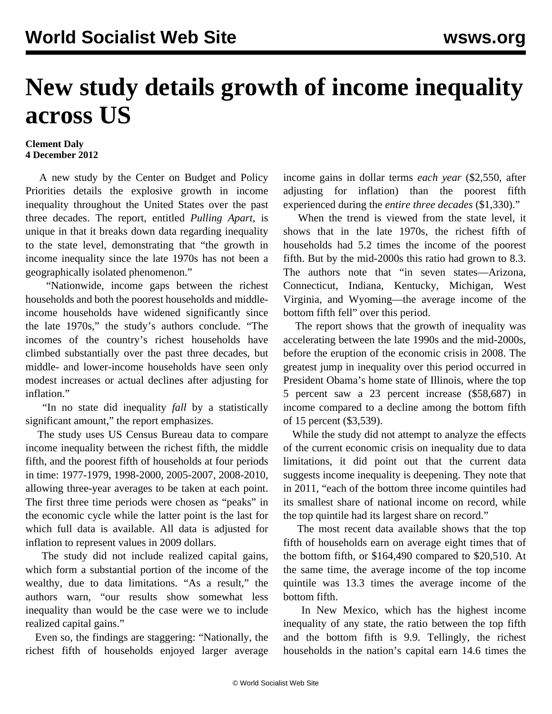## **New study details growth of income inequality across US**

## **Clement Daly 4 December 2012**

 A new study by the Center on Budget and Policy Priorities details the explosive growth in income inequality throughout the United States over the past three decades. The report, entitled *[Pulling Apart](http://www.cbpp.org/files/11-15-12sfp.pdf)*, is unique in that it breaks down data regarding inequality to the state level, demonstrating that "the growth in income inequality since the late 1970s has not been a geographically isolated phenomenon."

 "Nationwide, income gaps between the richest households and both the poorest households and middleincome households have widened significantly since the late 1970s," the study's authors conclude. "The incomes of the country's richest households have climbed substantially over the past three decades, but middle- and lower-income households have seen only modest increases or actual declines after adjusting for inflation."

 "In no state did inequality *fall* by a statistically significant amount," the report emphasizes.

 The study uses US Census Bureau data to compare income inequality between the richest fifth, the middle fifth, and the poorest fifth of households at four periods in time: 1977-1979, 1998-2000, 2005-2007, 2008-2010, allowing three-year averages to be taken at each point. The first three time periods were chosen as "peaks" in the economic cycle while the latter point is the last for which full data is available. All data is adjusted for inflation to represent values in 2009 dollars.

 The study did not include realized capital gains, which form a substantial portion of the income of the wealthy, due to data limitations. "As a result," the authors warn, "our results show somewhat less inequality than would be the case were we to include realized capital gains."

 Even so, the findings are staggering: "Nationally, the richest fifth of households enjoyed larger average income gains in dollar terms *each year* (\$2,550, after adjusting for inflation) than the poorest fifth experienced during the *entire three decades* (\$1,330)."

 When the trend is viewed from the state level, it shows that in the late 1970s, the richest fifth of households had 5.2 times the income of the poorest fifth. But by the mid-2000s this ratio had grown to 8.3. The authors note that "in seven states—Arizona, Connecticut, Indiana, Kentucky, Michigan, West Virginia, and Wyoming—the average income of the bottom fifth fell" over this period.

 The report shows that the growth of inequality was accelerating between the late 1990s and the mid-2000s, before the eruption of the economic crisis in 2008. The greatest jump in inequality over this period occurred in President Obama's home state of Illinois, where the top 5 percent saw a 23 percent increase (\$58,687) in income compared to a decline among the bottom fifth of 15 percent (\$3,539).

 While the study did not attempt to analyze the effects of the current economic crisis on inequality due to data limitations, it did point out that the current data suggests income inequality is deepening. They note that in 2011, "each of the bottom three income quintiles had its smallest share of national income on record, while the top quintile had its largest share on record."

 The most recent data available shows that the top fifth of households earn on average eight times that of the bottom fifth, or \$164,490 compared to \$20,510. At the same time, the average income of the top income quintile was 13.3 times the average income of the bottom fifth.

 In New Mexico, which has the highest income inequality of any state, the ratio between the top fifth and the bottom fifth is 9.9. Tellingly, the richest households in the nation's capital earn 14.6 times the